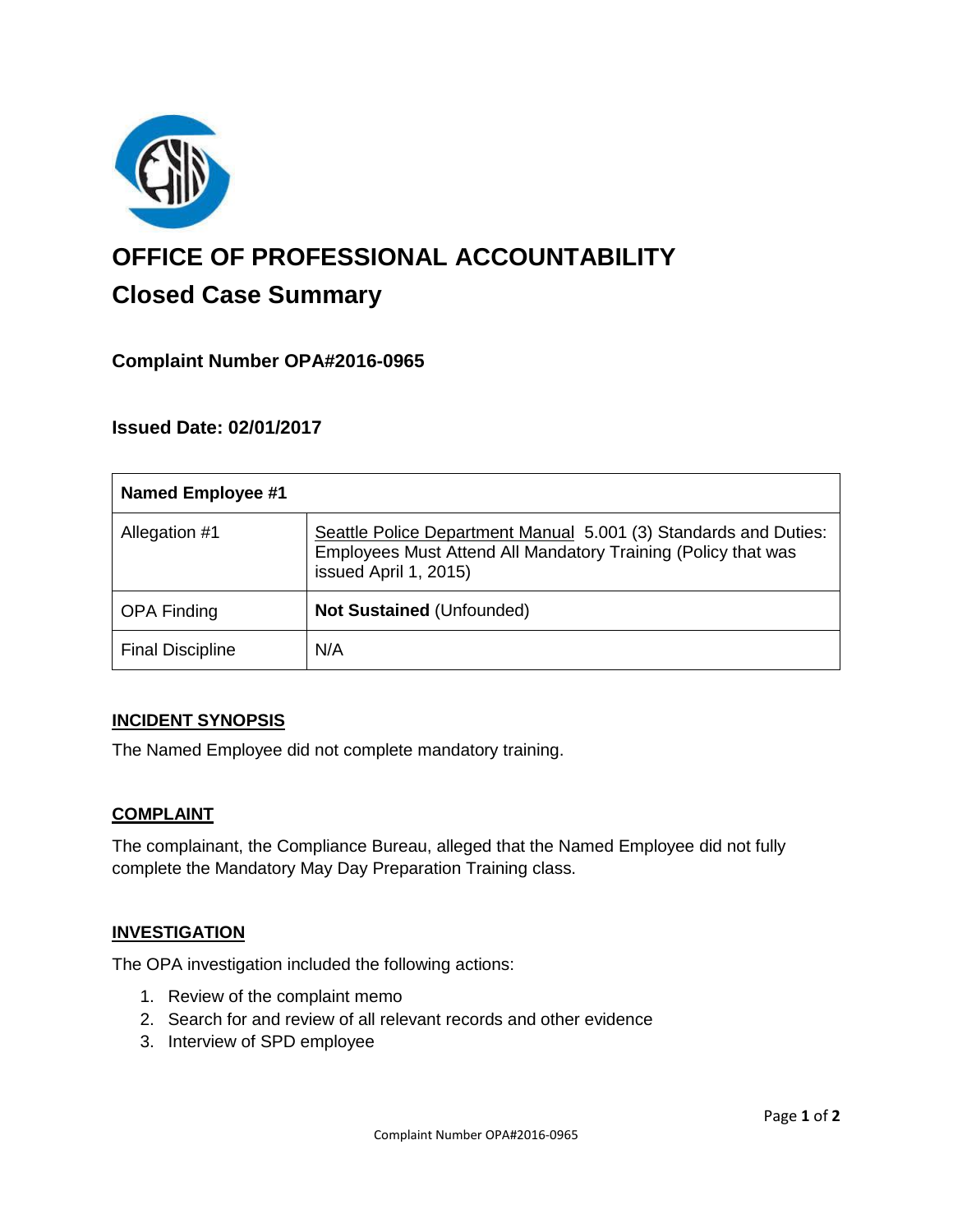

# **OFFICE OF PROFESSIONAL ACCOUNTABILITY Closed Case Summary**

## **Complaint Number OPA#2016-0965**

## **Issued Date: 02/01/2017**

| <b>Named Employee #1</b> |                                                                                                                                                            |
|--------------------------|------------------------------------------------------------------------------------------------------------------------------------------------------------|
| Allegation #1            | Seattle Police Department Manual 5.001 (3) Standards and Duties:<br>Employees Must Attend All Mandatory Training (Policy that was<br>issued April 1, 2015) |
| <b>OPA Finding</b>       | Not Sustained (Unfounded)                                                                                                                                  |
| <b>Final Discipline</b>  | N/A                                                                                                                                                        |

### **INCIDENT SYNOPSIS**

The Named Employee did not complete mandatory training.

### **COMPLAINT**

The complainant, the Compliance Bureau, alleged that the Named Employee did not fully complete the Mandatory May Day Preparation Training class.

### **INVESTIGATION**

The OPA investigation included the following actions:

- 1. Review of the complaint memo
- 2. Search for and review of all relevant records and other evidence
- 3. Interview of SPD employee